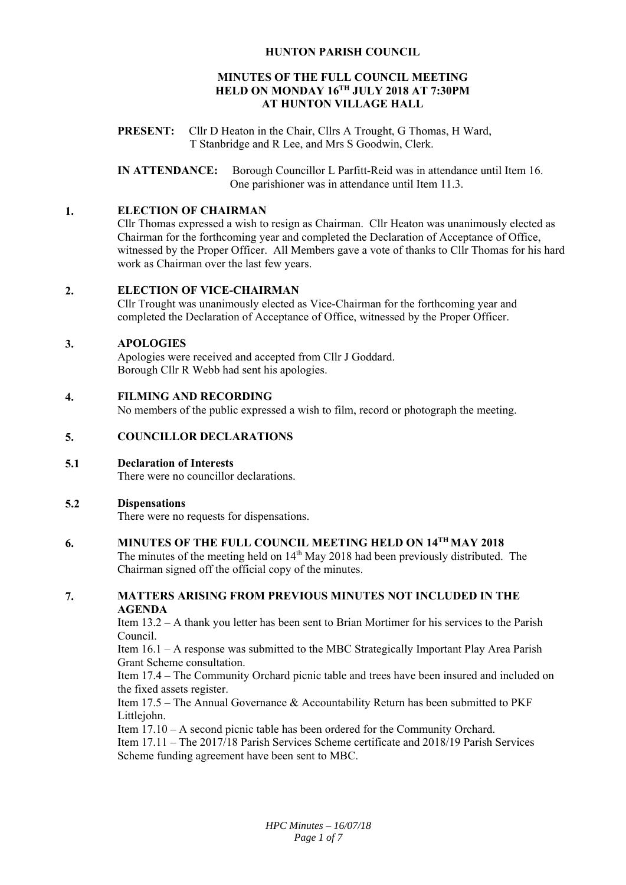# **HUNTON PARISH COUNCIL**

## **MINUTES OF THE FULL COUNCIL MEETING HELD ON MONDAY 16TH JULY 2018 AT 7:30PM AT HUNTON VILLAGE HALL**

**PRESENT:** Cllr D Heaton in the Chair, Cllrs A Trought, G Thomas, H Ward, T Stanbridge and R Lee, and Mrs S Goodwin, Clerk.

**IN ATTENDANCE:** Borough Councillor L Parfitt-Reid was in attendance until Item 16. One parishioner was in attendance until Item 11.3.

#### **1. ELECTION OF CHAIRMAN**

Cllr Thomas expressed a wish to resign as Chairman. Cllr Heaton was unanimously elected as Chairman for the forthcoming year and completed the Declaration of Acceptance of Office, witnessed by the Proper Officer. All Members gave a vote of thanks to Cllr Thomas for his hard work as Chairman over the last few years.

#### **2. ELECTION OF VICE-CHAIRMAN**

Cllr Trought was unanimously elected as Vice-Chairman for the forthcoming year and completed the Declaration of Acceptance of Office, witnessed by the Proper Officer.

## **3. APOLOGIES**

Apologies were received and accepted from Cllr J Goddard. Borough Cllr R Webb had sent his apologies.

#### **4. FILMING AND RECORDING**

No members of the public expressed a wish to film, record or photograph the meeting.

## **5. COUNCILLOR DECLARATIONS**

#### **5.1 Declaration of Interests**

There were no councillor declarations.

#### **5.2 Dispensations**

There were no requests for dispensations.

## **6. MINUTES OF THE FULL COUNCIL MEETING HELD ON 14TH MAY 2018**

The minutes of the meeting held on  $14<sup>th</sup>$  May 2018 had been previously distributed. The Chairman signed off the official copy of the minutes.

## **7. MATTERS ARISING FROM PREVIOUS MINUTES NOT INCLUDED IN THE AGENDA**

Item 13.2 – A thank you letter has been sent to Brian Mortimer for his services to the Parish Council.

Item 16.1 – A response was submitted to the MBC Strategically Important Play Area Parish Grant Scheme consultation.

Item 17.4 – The Community Orchard picnic table and trees have been insured and included on the fixed assets register.

Item 17.5 – The Annual Governance & Accountability Return has been submitted to PKF Littlejohn.

Item 17.10 – A second picnic table has been ordered for the Community Orchard. Item 17.11 – The 2017/18 Parish Services Scheme certificate and 2018/19 Parish Services Scheme funding agreement have been sent to MBC.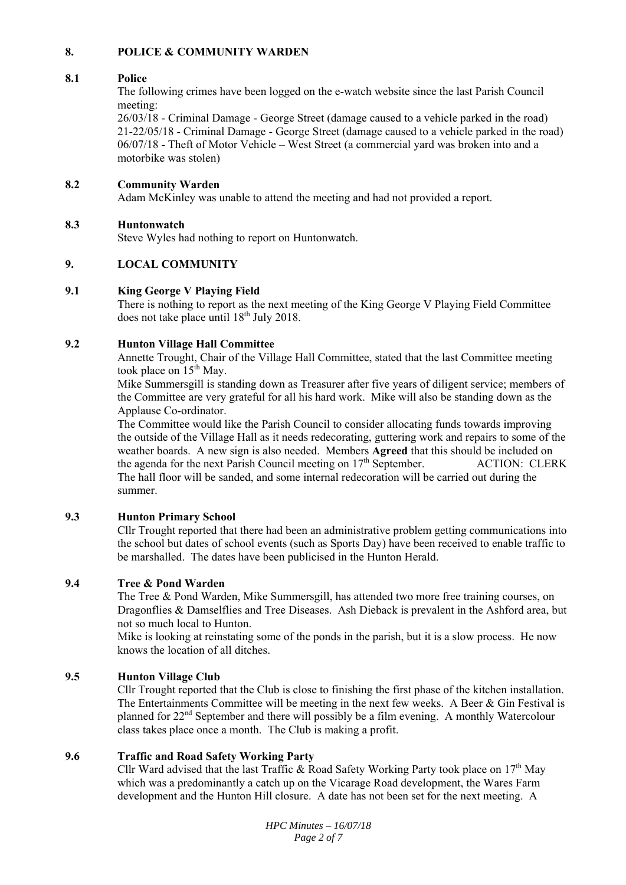## **8. POLICE & COMMUNITY WARDEN**

### **8.1 Police**

The following crimes have been logged on the e-watch website since the last Parish Council meeting:

26/03/18 - Criminal Damage - George Street (damage caused to a vehicle parked in the road) 21-22/05/18 - Criminal Damage - George Street (damage caused to a vehicle parked in the road) 06/07/18 - Theft of Motor Vehicle – West Street (a commercial yard was broken into and a motorbike was stolen)

#### **8.2 Community Warden**

Adam McKinley was unable to attend the meeting and had not provided a report.

#### **8.3 Huntonwatch**

Steve Wyles had nothing to report on Huntonwatch.

## **9. LOCAL COMMUNITY**

#### **9.1 King George V Playing Field**

There is nothing to report as the next meeting of the King George V Playing Field Committee does not take place until  $18^{th}$  July 2018.

#### **9.2 Hunton Village Hall Committee**

Annette Trought, Chair of the Village Hall Committee, stated that the last Committee meeting took place on  $15<sup>th</sup>$  May.

Mike Summersgill is standing down as Treasurer after five years of diligent service; members of the Committee are very grateful for all his hard work. Mike will also be standing down as the Applause Co-ordinator.

The Committee would like the Parish Council to consider allocating funds towards improving the outside of the Village Hall as it needs redecorating, guttering work and repairs to some of the weather boards. A new sign is also needed. Members **Agreed** that this should be included on the agenda for the next Parish Council meeting on  $17<sup>th</sup>$  September. ACTION: CLERK The hall floor will be sanded, and some internal redecoration will be carried out during the summer.

## **9.3 Hunton Primary School**

Cllr Trought reported that there had been an administrative problem getting communications into the school but dates of school events (such as Sports Day) have been received to enable traffic to be marshalled. The dates have been publicised in the Hunton Herald.

## **9.4 Tree & Pond Warden**

The Tree & Pond Warden, Mike Summersgill, has attended two more free training courses, on Dragonflies & Damselflies and Tree Diseases. Ash Dieback is prevalent in the Ashford area, but not so much local to Hunton.

Mike is looking at reinstating some of the ponds in the parish, but it is a slow process. He now knows the location of all ditches.

## **9.5 Hunton Village Club**

Cllr Trought reported that the Club is close to finishing the first phase of the kitchen installation. The Entertainments Committee will be meeting in the next few weeks. A Beer & Gin Festival is planned for 22nd September and there will possibly be a film evening. A monthly Watercolour class takes place once a month. The Club is making a profit.

#### **9.6 Traffic and Road Safety Working Party**

Cllr Ward advised that the last Traffic & Road Safety Working Party took place on  $17<sup>th</sup>$  May which was a predominantly a catch up on the Vicarage Road development, the Wares Farm development and the Hunton Hill closure. A date has not been set for the next meeting. A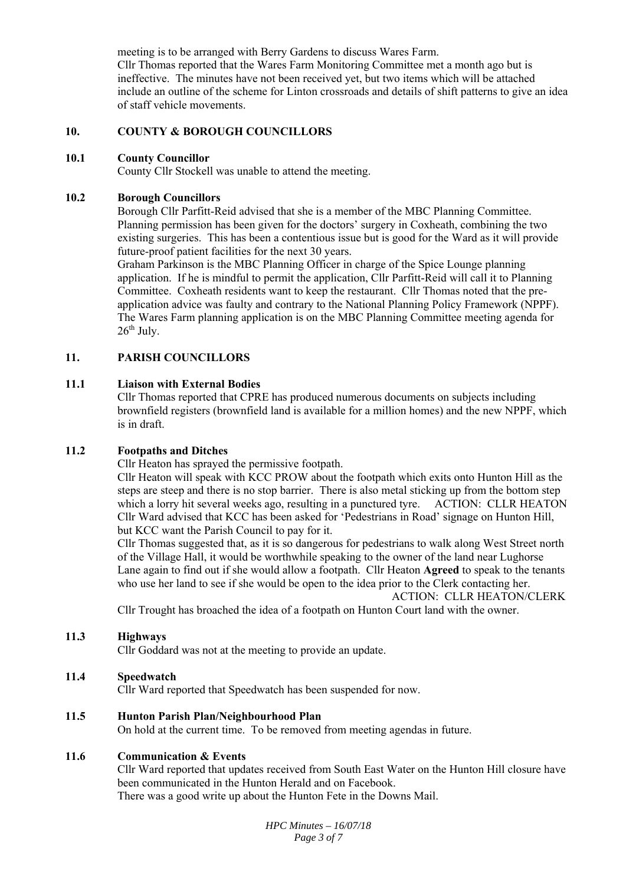meeting is to be arranged with Berry Gardens to discuss Wares Farm. Cllr Thomas reported that the Wares Farm Monitoring Committee met a month ago but is ineffective. The minutes have not been received yet, but two items which will be attached include an outline of the scheme for Linton crossroads and details of shift patterns to give an idea of staff vehicle movements.

#### **10. COUNTY & BOROUGH COUNCILLORS**

#### **10.1 County Councillor**

County Cllr Stockell was unable to attend the meeting.

#### **10.2 Borough Councillors**

Borough Cllr Parfitt-Reid advised that she is a member of the MBC Planning Committee. Planning permission has been given for the doctors' surgery in Coxheath, combining the two existing surgeries. This has been a contentious issue but is good for the Ward as it will provide future-proof patient facilities for the next 30 years.

Graham Parkinson is the MBC Planning Officer in charge of the Spice Lounge planning application. If he is mindful to permit the application, Cllr Parfitt-Reid will call it to Planning Committee. Coxheath residents want to keep the restaurant. Cllr Thomas noted that the preapplication advice was faulty and contrary to the National Planning Policy Framework (NPPF). The Wares Farm planning application is on the MBC Planning Committee meeting agenda for  $26<sup>th</sup>$  July.

## **11. PARISH COUNCILLORS**

#### **11.1 Liaison with External Bodies**

Cllr Thomas reported that CPRE has produced numerous documents on subjects including brownfield registers (brownfield land is available for a million homes) and the new NPPF, which is in draft.

#### **11.2 Footpaths and Ditches**

Cllr Heaton has sprayed the permissive footpath.

Cllr Heaton will speak with KCC PROW about the footpath which exits onto Hunton Hill as the steps are steep and there is no stop barrier. There is also metal sticking up from the bottom step which a lorry hit several weeks ago, resulting in a punctured tyre. ACTION: CLLR HEATON Cllr Ward advised that KCC has been asked for 'Pedestrians in Road' signage on Hunton Hill, but KCC want the Parish Council to pay for it.

Cllr Thomas suggested that, as it is so dangerous for pedestrians to walk along West Street north of the Village Hall, it would be worthwhile speaking to the owner of the land near Lughorse Lane again to find out if she would allow a footpath. Cllr Heaton **Agreed** to speak to the tenants who use her land to see if she would be open to the idea prior to the Clerk contacting her.

ACTION: CLLR HEATON/CLERK

Cllr Trought has broached the idea of a footpath on Hunton Court land with the owner.

#### **11.3 Highways**

Cllr Goddard was not at the meeting to provide an update.

#### **11.4 Speedwatch**

Cllr Ward reported that Speedwatch has been suspended for now.

**11.5 Hunton Parish Plan/Neighbourhood Plan** 

On hold at the current time. To be removed from meeting agendas in future.

#### **11.6 Communication & Events**

Cllr Ward reported that updates received from South East Water on the Hunton Hill closure have been communicated in the Hunton Herald and on Facebook. There was a good write up about the Hunton Fete in the Downs Mail.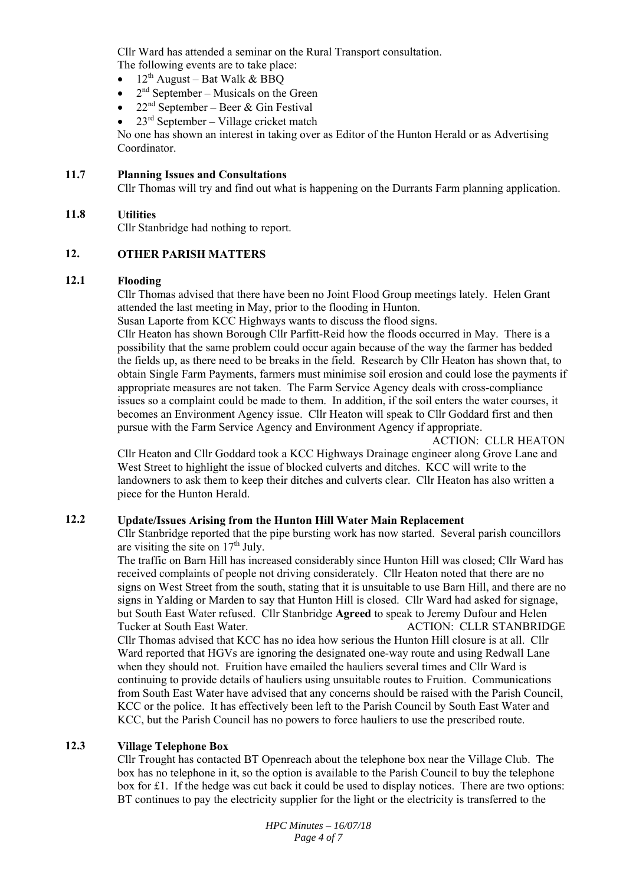Cllr Ward has attended a seminar on the Rural Transport consultation.

The following events are to take place:

- $\bullet$  12<sup>th</sup> August Bat Walk & BBO
- $2<sup>nd</sup>$  September Musicals on the Green
- $22<sup>nd</sup> September Beer & Gin Festival$
- 23rd September Village cricket match

No one has shown an interest in taking over as Editor of the Hunton Herald or as Advertising Coordinator.

#### **11.7 Planning Issues and Consultations**

Cllr Thomas will try and find out what is happening on the Durrants Farm planning application.

#### **11.8 Utilities**

Cllr Stanbridge had nothing to report.

## **12. OTHER PARISH MATTERS**

#### **12.1 Flooding**

Cllr Thomas advised that there have been no Joint Flood Group meetings lately. Helen Grant attended the last meeting in May, prior to the flooding in Hunton.

Susan Laporte from KCC Highways wants to discuss the flood signs.

Cllr Heaton has shown Borough Cllr Parfitt-Reid how the floods occurred in May. There is a possibility that the same problem could occur again because of the way the farmer has bedded the fields up, as there need to be breaks in the field. Research by Cllr Heaton has shown that, to obtain Single Farm Payments, farmers must minimise soil erosion and could lose the payments if appropriate measures are not taken. The Farm Service Agency deals with cross-compliance issues so a complaint could be made to them. In addition, if the soil enters the water courses, it becomes an Environment Agency issue. Cllr Heaton will speak to Cllr Goddard first and then pursue with the Farm Service Agency and Environment Agency if appropriate.

## ACTION: CLLR HEATON

Cllr Heaton and Cllr Goddard took a KCC Highways Drainage engineer along Grove Lane and West Street to highlight the issue of blocked culverts and ditches. KCC will write to the landowners to ask them to keep their ditches and culverts clear. Cllr Heaton has also written a piece for the Hunton Herald.

## **12.2 Update/Issues Arising from the Hunton Hill Water Main Replacement**

Cllr Stanbridge reported that the pipe bursting work has now started. Several parish councillors are visiting the site on  $17<sup>th</sup>$  July.

The traffic on Barn Hill has increased considerably since Hunton Hill was closed; Cllr Ward has received complaints of people not driving considerately. Cllr Heaton noted that there are no signs on West Street from the south, stating that it is unsuitable to use Barn Hill, and there are no signs in Yalding or Marden to say that Hunton Hill is closed. Cllr Ward had asked for signage, but South East Water refused. Cllr Stanbridge **Agreed** to speak to Jeremy Dufour and Helen Tucker at South East Water. ACTION: CLLR STANBRIDGE Cllr Thomas advised that KCC has no idea how serious the Hunton Hill closure is at all. Cllr Ward reported that HGVs are ignoring the designated one-way route and using Redwall Lane when they should not. Fruition have emailed the hauliers several times and Cllr Ward is continuing to provide details of hauliers using unsuitable routes to Fruition. Communications from South East Water have advised that any concerns should be raised with the Parish Council, KCC or the police. It has effectively been left to the Parish Council by South East Water and KCC, but the Parish Council has no powers to force hauliers to use the prescribed route.

## **12.3 Village Telephone Box**

Cllr Trought has contacted BT Openreach about the telephone box near the Village Club. The box has no telephone in it, so the option is available to the Parish Council to buy the telephone box for £1. If the hedge was cut back it could be used to display notices. There are two options: BT continues to pay the electricity supplier for the light or the electricity is transferred to the

> *HPC Minutes – 16/07/18 Page 4 of 7*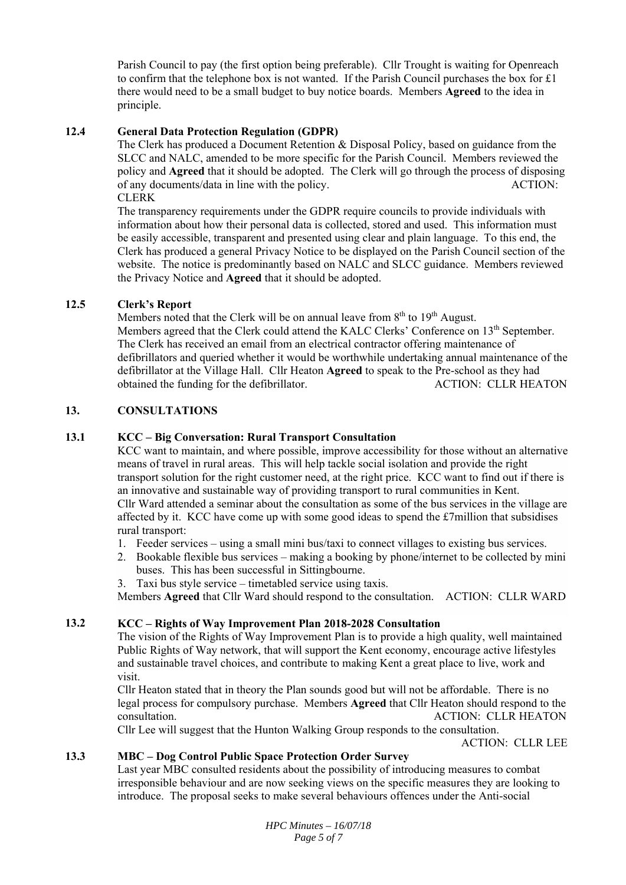Parish Council to pay (the first option being preferable). Cllr Trought is waiting for Openreach to confirm that the telephone box is not wanted. If the Parish Council purchases the box for  $\pounds 1$ there would need to be a small budget to buy notice boards. Members **Agreed** to the idea in principle.

## **12.4 General Data Protection Regulation (GDPR)**

The Clerk has produced a Document Retention & Disposal Policy, based on guidance from the SLCC and NALC, amended to be more specific for the Parish Council. Members reviewed the policy and **Agreed** that it should be adopted. The Clerk will go through the process of disposing of any documents/data in line with the policy. ACTION: CLERK

The transparency requirements under the GDPR require councils to provide individuals with information about how their personal data is collected, stored and used. This information must be easily accessible, transparent and presented using clear and plain language. To this end, the Clerk has produced a general Privacy Notice to be displayed on the Parish Council section of the website. The notice is predominantly based on NALC and SLCC guidance. Members reviewed the Privacy Notice and **Agreed** that it should be adopted.

## **12.5 Clerk's Report**

Members noted that the Clerk will be on annual leave from  $8<sup>th</sup>$  to  $19<sup>th</sup>$  August.

Members agreed that the Clerk could attend the KALC Clerks' Conference on 13<sup>th</sup> September. The Clerk has received an email from an electrical contractor offering maintenance of defibrillators and queried whether it would be worthwhile undertaking annual maintenance of the defibrillator at the Village Hall. Cllr Heaton **Agreed** to speak to the Pre-school as they had obtained the funding for the defibrillator. ACTION: CLLR HEATON

## **13. CONSULTATIONS**

#### **13.1 KCC – Big Conversation: Rural Transport Consultation**

KCC want to maintain, and where possible, improve accessibility for those without an alternative means of travel in rural areas. This will help tackle social isolation and provide the right transport solution for the right customer need, at the right price. KCC want to find out if there is an innovative and sustainable way of providing transport to rural communities in Kent. Cllr Ward attended a seminar about the consultation as some of the bus services in the village are affected by it. KCC have come up with some good ideas to spend the  $\pounds$ 7million that subsidises rural transport:

- 1. Feeder services using a small mini bus/taxi to connect villages to existing bus services.
- 2. Bookable flexible bus services making a booking by phone/internet to be collected by mini buses. This has been successful in Sittingbourne.
- 3. Taxi bus style service timetabled service using taxis.

Members **Agreed** that Cllr Ward should respond to the consultation. ACTION: CLLR WARD

#### **13.2 KCC – Rights of Way Improvement Plan 2018-2028 Consultation**

The vision of the Rights of Way Improvement Plan is to provide a high quality, well maintained Public Rights of Way network, that will support the Kent economy, encourage active lifestyles and sustainable travel choices, and contribute to making Kent a great place to live, work and visit.

Cllr Heaton stated that in theory the Plan sounds good but will not be affordable. There is no legal process for compulsory purchase. Members **Agreed** that Cllr Heaton should respond to the consultation. ACTION: CLLR HEATON

Cllr Lee will suggest that the Hunton Walking Group responds to the consultation.

ACTION: CLLR LEE

### **13.3 MBC – Dog Control Public Space Protection Order Survey**

Last year MBC consulted residents about the possibility of introducing measures to combat irresponsible behaviour and are now seeking views on the specific measures they are looking to introduce. The proposal seeks to make several behaviours offences under the Anti-social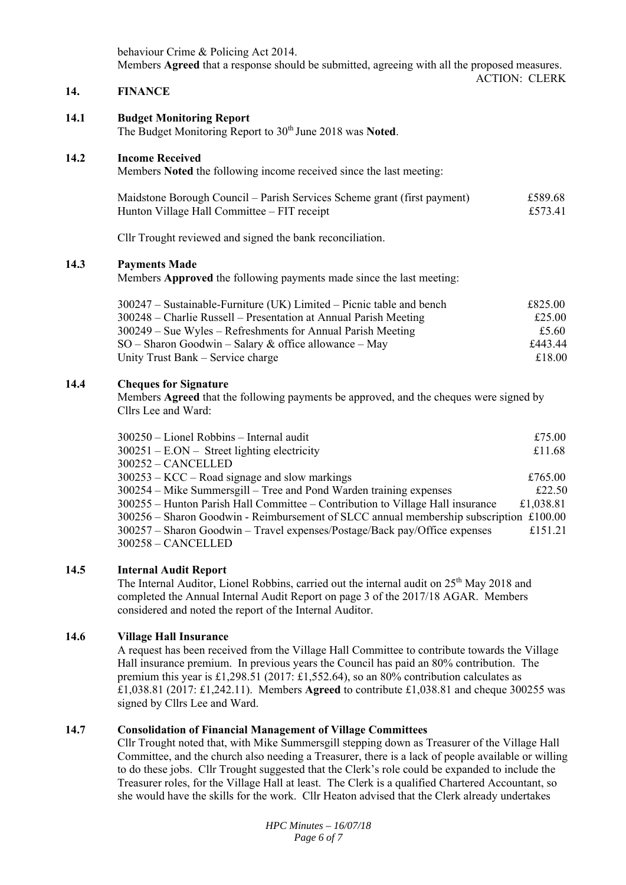behaviour Crime & Policing Act 2014. Members **Agreed** that a response should be submitted, agreeing with all the proposed measures. ACTION: CLERK

#### **14. FINANCE**

#### **14.1 Budget Monitoring Report**

The Budget Monitoring Report to 30th June 2018 was **Noted**.

#### **14.2 Income Received**

Members **Noted** the following income received since the last meeting:

| Maidstone Borough Council – Parish Services Scheme grant (first payment) | £589.68 |
|--------------------------------------------------------------------------|---------|
| Hunton Village Hall Committee – FIT receipt                              | £573.41 |

Cllr Trought reviewed and signed the bank reconciliation.

#### **14.3 Payments Made**

Members **Approved** the following payments made since the last meeting:

| $300247$ – Sustainable-Furniture (UK) Limited – Picnic table and bench | £825.00 |
|------------------------------------------------------------------------|---------|
| 300248 – Charlie Russell – Presentation at Annual Parish Meeting       | £25.00  |
| $300249$ – Sue Wyles – Refreshments for Annual Parish Meeting          | £5.60   |
| $SO -$ Sharon Goodwin – Salary & office allowance – May                | £443.44 |
| Unity Trust Bank – Service charge                                      | £18.00  |

#### **14.4 Cheques for Signature**

Members **Agreed** that the following payments be approved, and the cheques were signed by Cllrs Lee and Ward:

| 300250 - Lionel Robbins - Internal audit                                                 | £75.00    |
|------------------------------------------------------------------------------------------|-----------|
| $300251 - E. ON - Street lighting electricity$                                           | £11.68    |
| 300252 - CANCELLED                                                                       |           |
| $300253 - KCC - Road$ signage and slow markings                                          | £765.00   |
| 300254 – Mike Summersgill – Tree and Pond Warden training expenses                       | £22.50    |
| 300255 – Hunton Parish Hall Committee – Contribution to Village Hall insurance           | £1,038.81 |
| $300256$ – Sharon Goodwin - Reimbursement of SLCC annual membership subscription £100.00 |           |
| 300257 – Sharon Goodwin – Travel expenses/Postage/Back pay/Office expenses               | £151.21   |
| 300258 - CANCELLED                                                                       |           |
|                                                                                          |           |

#### **14.5 Internal Audit Report**

The Internal Auditor, Lionel Robbins, carried out the internal audit on  $25<sup>th</sup>$  May 2018 and completed the Annual Internal Audit Report on page 3 of the 2017/18 AGAR. Members considered and noted the report of the Internal Auditor.

#### **14.6 Village Hall Insurance**

A request has been received from the Village Hall Committee to contribute towards the Village Hall insurance premium. In previous years the Council has paid an 80% contribution. The premium this year is £1,298.51 (2017: £1,552.64), so an 80% contribution calculates as £1,038.81 (2017: £1,242.11). Members **Agreed** to contribute £1,038.81 and cheque 300255 was signed by Cllrs Lee and Ward.

#### **14.7 Consolidation of Financial Management of Village Committees**

Cllr Trought noted that, with Mike Summersgill stepping down as Treasurer of the Village Hall Committee, and the church also needing a Treasurer, there is a lack of people available or willing to do these jobs. Cllr Trought suggested that the Clerk's role could be expanded to include the Treasurer roles, for the Village Hall at least. The Clerk is a qualified Chartered Accountant, so she would have the skills for the work. Cllr Heaton advised that the Clerk already undertakes